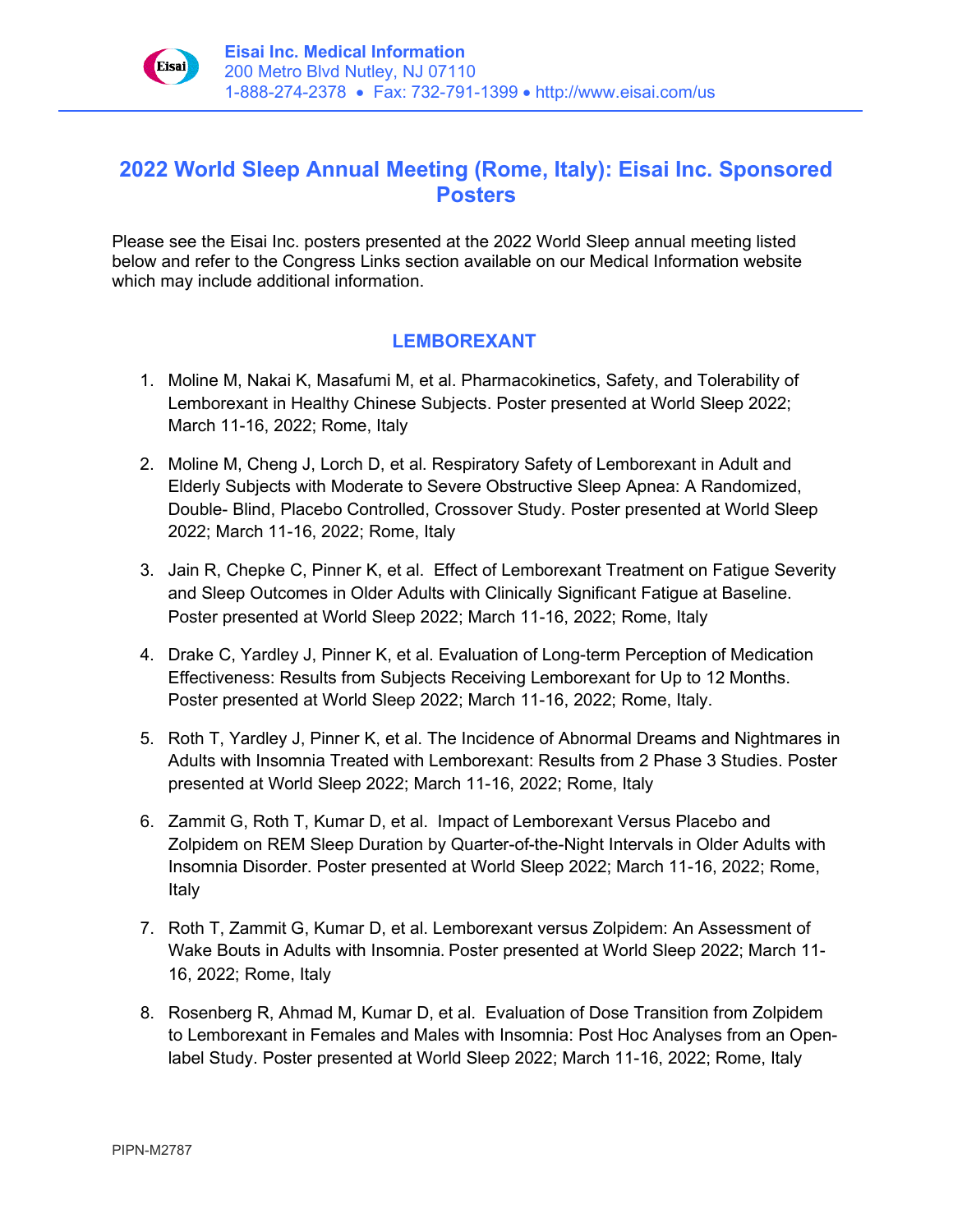

## **2022 World Sleep Annual Meeting (Rome, Italy): Eisai Inc. Sponsored Posters**

Please see the Eisai Inc. posters presented at the 2022 World Sleep annual meeting listed below and refer to the Congress Links section available on our Medical Information website which may include additional information.

## **LEMBOREXANT**

- 1. Moline M, Nakai K, Masafumi M, et al. Pharmacokinetics, Safety, and Tolerability of Lemborexant in Healthy Chinese Subjects. Poster presented at World Sleep 2022; March 11-16, 2022; Rome, Italy
- 2. Moline M, Cheng J, Lorch D, et al. Respiratory Safety of Lemborexant in Adult and Elderly Subjects with Moderate to Severe Obstructive Sleep Apnea: A Randomized, Double- Blind, Placebo Controlled, Crossover Study. Poster presented at World Sleep 2022; March 11-16, 2022; Rome, Italy
- 3. Jain R, Chepke C, Pinner K, et al. Effect of Lemborexant Treatment on Fatigue Severity and Sleep Outcomes in Older Adults with Clinically Significant Fatigue at Baseline. Poster presented at World Sleep 2022; March 11-16, 2022; Rome, Italy
- 4. Drake C, Yardley J, Pinner K, et al. Evaluation of Long-term Perception of Medication Effectiveness: Results from Subjects Receiving Lemborexant for Up to 12 Months. Poster presented at World Sleep 2022; March 11-16, 2022; Rome, Italy.
- 5. Roth T, Yardley J, Pinner K, et al. The Incidence of Abnormal Dreams and Nightmares in Adults with Insomnia Treated with Lemborexant: Results from 2 Phase 3 Studies. Poster presented at World Sleep 2022; March 11-16, 2022; Rome, Italy
- 6. Zammit G, Roth T, Kumar D, et al. Impact of Lemborexant Versus Placebo and Zolpidem on REM Sleep Duration by Quarter-of-the-Night Intervals in Older Adults with Insomnia Disorder. Poster presented at World Sleep 2022; March 11-16, 2022; Rome, Italy
- 7. Roth T, Zammit G, Kumar D, et al. Lemborexant versus Zolpidem: An Assessment of Wake Bouts in Adults with Insomnia. Poster presented at World Sleep 2022; March 11- 16, 2022; Rome, Italy
- 8. Rosenberg R, Ahmad M, Kumar D, et al. Evaluation of Dose Transition from Zolpidem to Lemborexant in Females and Males with Insomnia: Post Hoc Analyses from an Openlabel Study. Poster presented at World Sleep 2022; March 11-16, 2022; Rome, Italy